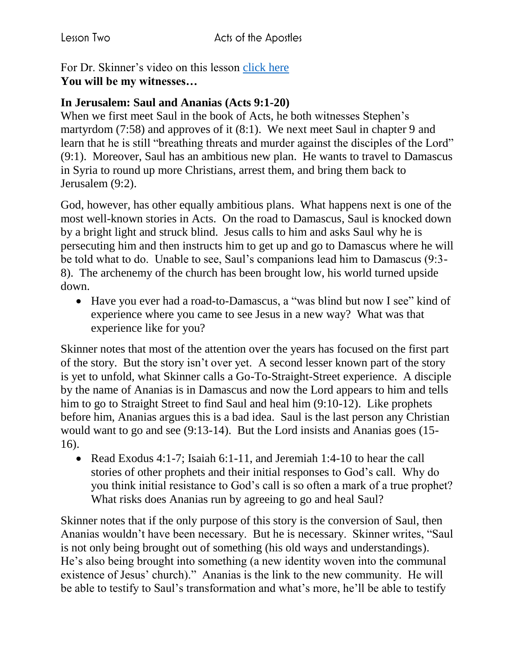For Dr. Skinner's video on this lesson [click here](https://my.amplifymedia.com/amplify/series/unitedmethodistpublishinghouse/30870-acts?fbclid=IwAR3ywGl_HyjOrXPLm8tDJBlnJFFMu-UlPSUogvcW6GrNOJ660HmK3nUMN-U) **You will be my witnesses…**

## **In Jerusalem: Saul and Ananias (Acts 9:1-20)**

When we first meet Saul in the book of Acts, he both witnesses Stephen's martyrdom (7:58) and approves of it (8:1). We next meet Saul in chapter 9 and learn that he is still "breathing threats and murder against the disciples of the Lord" (9:1). Moreover, Saul has an ambitious new plan. He wants to travel to Damascus in Syria to round up more Christians, arrest them, and bring them back to Jerusalem (9:2).

God, however, has other equally ambitious plans. What happens next is one of the most well-known stories in Acts. On the road to Damascus, Saul is knocked down by a bright light and struck blind. Jesus calls to him and asks Saul why he is persecuting him and then instructs him to get up and go to Damascus where he will be told what to do. Unable to see, Saul's companions lead him to Damascus (9:3- 8). The archenemy of the church has been brought low, his world turned upside down.

• Have you ever had a road-to-Damascus, a "was blind but now I see" kind of experience where you came to see Jesus in a new way? What was that experience like for you?

Skinner notes that most of the attention over the years has focused on the first part of the story. But the story isn't over yet. A second lesser known part of the story is yet to unfold, what Skinner calls a Go-To-Straight-Street experience. A disciple by the name of Ananias is in Damascus and now the Lord appears to him and tells him to go to Straight Street to find Saul and heal him (9:10-12). Like prophets before him, Ananias argues this is a bad idea. Saul is the last person any Christian would want to go and see (9:13-14). But the Lord insists and Ananias goes (15- 16).

• Read Exodus 4:1-7; Isaiah 6:1-11, and Jeremiah 1:4-10 to hear the call stories of other prophets and their initial responses to God's call. Why do you think initial resistance to God's call is so often a mark of a true prophet? What risks does Ananias run by agreeing to go and heal Saul?

Skinner notes that if the only purpose of this story is the conversion of Saul, then Ananias wouldn't have been necessary. But he is necessary. Skinner writes, "Saul is not only being brought out of something (his old ways and understandings). He's also being brought into something (a new identity woven into the communal existence of Jesus' church)." Ananias is the link to the new community. He will be able to testify to Saul's transformation and what's more, he'll be able to testify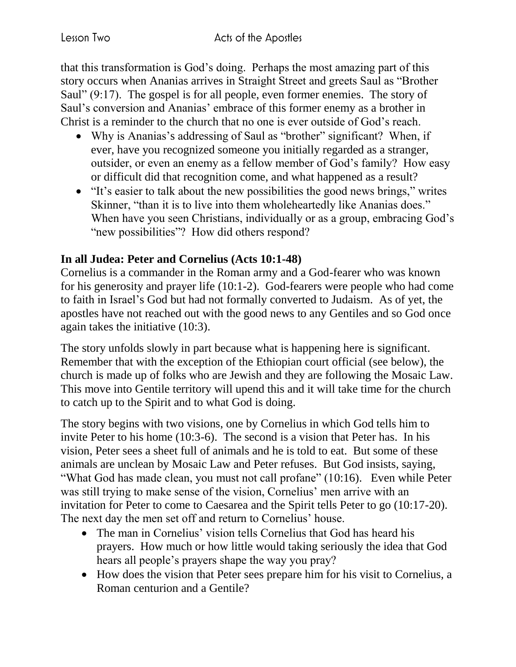that this transformation is God's doing. Perhaps the most amazing part of this story occurs when Ananias arrives in Straight Street and greets Saul as "Brother Saul" (9:17). The gospel is for all people, even former enemies. The story of Saul's conversion and Ananias' embrace of this former enemy as a brother in Christ is a reminder to the church that no one is ever outside of God's reach.

- Why is Ananias's addressing of Saul as "brother" significant? When, if ever, have you recognized someone you initially regarded as a stranger, outsider, or even an enemy as a fellow member of God's family? How easy or difficult did that recognition come, and what happened as a result?
- "It's easier to talk about the new possibilities the good news brings," writes Skinner, "than it is to live into them wholeheartedly like Ananias does." When have you seen Christians, individually or as a group, embracing God's "new possibilities"? How did others respond?

## **In all Judea: Peter and Cornelius (Acts 10:1-48)**

Cornelius is a commander in the Roman army and a God-fearer who was known for his generosity and prayer life (10:1-2). God-fearers were people who had come to faith in Israel's God but had not formally converted to Judaism. As of yet, the apostles have not reached out with the good news to any Gentiles and so God once again takes the initiative (10:3).

The story unfolds slowly in part because what is happening here is significant. Remember that with the exception of the Ethiopian court official (see below), the church is made up of folks who are Jewish and they are following the Mosaic Law. This move into Gentile territory will upend this and it will take time for the church to catch up to the Spirit and to what God is doing.

The story begins with two visions, one by Cornelius in which God tells him to invite Peter to his home (10:3-6). The second is a vision that Peter has. In his vision, Peter sees a sheet full of animals and he is told to eat. But some of these animals are unclean by Mosaic Law and Peter refuses. But God insists, saying, "What God has made clean, you must not call profane" (10:16). Even while Peter was still trying to make sense of the vision, Cornelius' men arrive with an invitation for Peter to come to Caesarea and the Spirit tells Peter to go (10:17-20). The next day the men set off and return to Cornelius' house.

- The man in Cornelius' vision tells Cornelius that God has heard his prayers. How much or how little would taking seriously the idea that God hears all people's prayers shape the way you pray?
- How does the vision that Peter sees prepare him for his visit to Cornelius, a Roman centurion and a Gentile?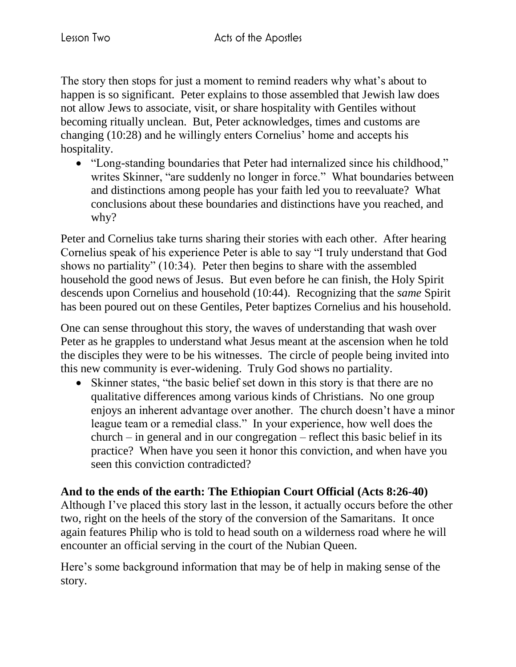The story then stops for just a moment to remind readers why what's about to happen is so significant. Peter explains to those assembled that Jewish law does not allow Jews to associate, visit, or share hospitality with Gentiles without becoming ritually unclean. But, Peter acknowledges, times and customs are changing (10:28) and he willingly enters Cornelius' home and accepts his hospitality.

 "Long-standing boundaries that Peter had internalized since his childhood," writes Skinner, "are suddenly no longer in force." What boundaries between and distinctions among people has your faith led you to reevaluate? What conclusions about these boundaries and distinctions have you reached, and why?

Peter and Cornelius take turns sharing their stories with each other. After hearing Cornelius speak of his experience Peter is able to say "I truly understand that God shows no partiality" (10:34). Peter then begins to share with the assembled household the good news of Jesus. But even before he can finish, the Holy Spirit descends upon Cornelius and household (10:44). Recognizing that the *same* Spirit has been poured out on these Gentiles, Peter baptizes Cornelius and his household.

One can sense throughout this story, the waves of understanding that wash over Peter as he grapples to understand what Jesus meant at the ascension when he told the disciples they were to be his witnesses. The circle of people being invited into this new community is ever-widening. Truly God shows no partiality.

• Skinner states, "the basic belief set down in this story is that there are no qualitative differences among various kinds of Christians. No one group enjoys an inherent advantage over another. The church doesn't have a minor league team or a remedial class." In your experience, how well does the  $church - in general and in our congreation - reflect this basic belief in its$ practice? When have you seen it honor this conviction, and when have you seen this conviction contradicted?

**And to the ends of the earth: The Ethiopian Court Official (Acts 8:26-40)** Although I've placed this story last in the lesson, it actually occurs before the other two, right on the heels of the story of the conversion of the Samaritans. It once again features Philip who is told to head south on a wilderness road where he will encounter an official serving in the court of the Nubian Queen.

Here's some background information that may be of help in making sense of the story.